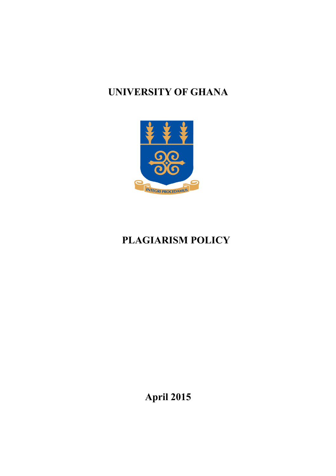## **UNIVERSITY OF GHANA**



# **PLAGIARISM POLICY**

**April 2015**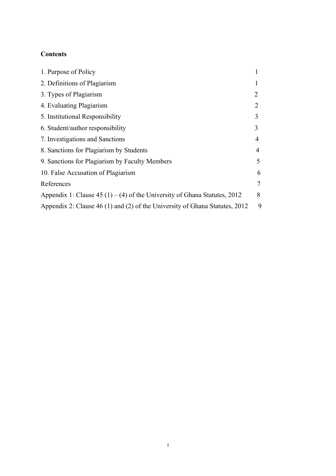## **Contents**

| 1. Purpose of Policy                                                        |        |
|-----------------------------------------------------------------------------|--------|
| 2. Definitions of Plagiarism                                                |        |
| 3. Types of Plagiarism                                                      | 2      |
| 4. Evaluating Plagiarism                                                    | 2      |
| 5. Institutional Responsibility                                             | 3      |
| 6. Student/author responsibility                                            | 3      |
| 7. Investigations and Sanctions                                             | 4      |
| 8. Sanctions for Plagiarism by Students                                     | 4      |
| 9. Sanctions for Plagiarism by Faculty Members                              | 5      |
| 10. False Accusation of Plagiarism                                          | 6      |
| References                                                                  | $\tau$ |
| Appendix 1: Clause 45 (1) – (4) of the University of Ghana Statutes, 2012   | 8      |
| Appendix 2: Clause 46 (1) and (2) of the University of Ghana Statutes, 2012 | 9      |
|                                                                             |        |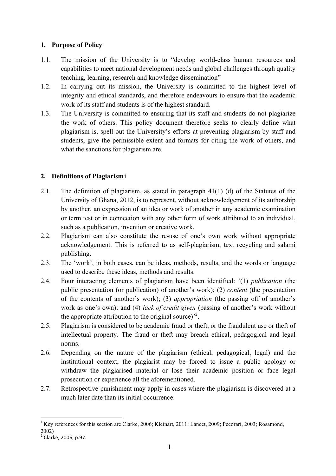## **1. Purpose of Policy**

- 1.1. The mission of the University is to "develop world-class human resources and capabilities to meet national development needs and global challenges through quality teaching, learning, research and knowledge dissemination"
- 1.2. In carrying out its mission, the University is committed to the highest level of integrity and ethical standards, and therefore endeavours to ensure that the academic work of its staff and students is of the highest standard.
- 1.3. The University is committed to ensuring that its staff and students do not plagiarize the work of others. This policy document therefore seeks to clearly define what plagiarism is, spell out the University's efforts at preventing plagiarism by staff and students, give the permissible extent and formats for citing the work of others, and what the sanctions for plagiarism are.

## **2. Definitions of Plagiarism**1

- 2.1. The definition of plagiarism, as stated in paragraph 41(1) (d) of the Statutes of the University of Ghana, 2012, is to represent, without acknowledgement of its authorship by another, an expression of an idea or work of another in any academic examination or term test or in connection with any other form of work attributed to an individual, such as a publication, invention or creative work.
- 2.2. Plagiarism can also constitute the re-use of one's own work without appropriate acknowledgement. This is referred to as self-plagiarism, text recycling and salami publishing.
- 2.3. The 'work', in both cases, can be ideas, methods, results, and the words or language used to describe these ideas, methods and results.
- 2.4. Four interacting elements of plagiarism have been identified: '(1) *publication* (the public presentation (or publication) of another's work); (2) *content* (the presentation of the contents of another's work); (3) *appropriation* (the passing off of another's work as one's own); and (4) *lack of credit given* (passing of another's work without the appropriate attribution to the original source)<sup>2</sup>.
- 2.5. Plagiarism is considered to be academic fraud or theft, or the fraudulent use or theft of intellectual property. The fraud or theft may breach ethical, pedagogical and legal norms.
- 2.6. Depending on the nature of the plagiarism (ethical, pedagogical, legal) and the institutional context, the plagiarist may be forced to issue a public apology or withdraw the plagiarised material or lose their academic position or face legal prosecution or experience all the aforementioned.
- 2.7. Retrospective punishment may apply in cases where the plagiarism is discovered at a much later date than its initial occurrence.

<sup>&</sup>lt;u> 1989 - Jan Samuel Barbara, político establecido de la provincia de la provincia de la provincia de la provinci</u> <sup>1</sup> Key references for this section are Clarke, 2006; Kleinart, 2011; Lancet, 2009; Pecorari, 2003; Rosamond, 2002)

 $2$  Clarke, 2006, p.97.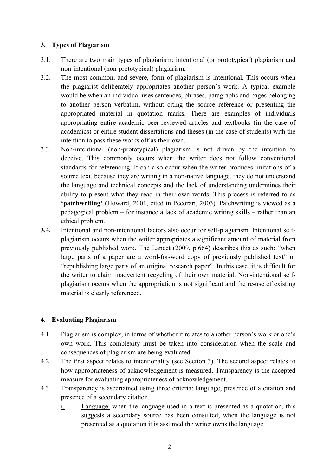### **3. Types of Plagiarism**

- 3.1. There are two main types of plagiarism: intentional (or prototypical) plagiarism and non-intentional (non-prototypical) plagiarism.
- 3.2. The most common, and severe, form of plagiarism is intentional. This occurs when the plagiarist deliberately appropriates another person's work. A typical example would be when an individual uses sentences, phrases, paragraphs and pages belonging to another person verbatim, without citing the source reference or presenting the appropriated material in quotation marks. There are examples of individuals appropriating entire academic peer-reviewed articles and textbooks (in the case of academics) or entire student dissertations and theses (in the case of students) with the intention to pass these works off as their own.
- 3.3. Non-intentional (non-prototypical) plagiarism is not driven by the intention to deceive. This commonly occurs when the writer does not follow conventional standards for referencing. It can also occur when the writer produces imitations of a source text, because they are writing in a non-native language, they do not understand the language and technical concepts and the lack of understanding undermines their ability to present what they read in their own words. This process is referred to as **'patchwriting'** (Howard, 2001, cited in Pecorari, 2003). Patchwriting is viewed as a pedagogical problem – for instance a lack of academic writing skills – rather than an ethical problem.
- **3.4.** Intentional and non-intentional factors also occur for self-plagiarism. Intentional selfplagiarism occurs when the writer appropriates a significant amount of material from previously published work. The Lancet (2009, p.664) describes this as such: "when large parts of a paper are a word-for-word copy of previously published text" or "republishing large parts of an original research paper". In this case, it is difficult for the writer to claim inadvertent recycling of their own material. Non-intentional selfplagiarism occurs when the appropriation is not significant and the re-use of existing material is clearly referenced.

## **4. Evaluating Plagiarism**

- 4.1. Plagiarism is complex, in terms of whether it relates to another person's work or one's own work. This complexity must be taken into consideration when the scale and consequences of plagiarism are being evaluated.
- 4.2. The first aspect relates to intentionality (see Section 3). The second aspect relates to how appropriateness of acknowledgement is measured. Transparency is the accepted measure for evaluating appropriateness of acknowledgement.
- 4.3. Transparency is ascertained using three criteria: language, presence of a citation and presence of a secondary citation.
	- i. Language: when the language used in a text is presented as a quotation, this suggests a secondary source has been consulted; when the language is not presented as a quotation it is assumed the writer owns the language.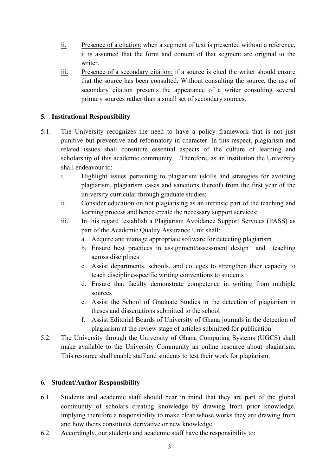- ii. Presence of a citation: when a segment of text is presented without a reference, it is assumed that the form and content of that segment are original to the writer.
- iii. Presence of a secondary citation: if a source is cited the writer should ensure that the source has been consulted. Without consulting the source, the use of secondary citation presents the appearance of a writer consulting several primary sources rather than a small set of secondary sources.

### **5. Institutional Responsibility**

- 5.1. The University recognizes the need to have a policy framework that is not just punitive but preventive and reformatory in character. In this respect, plagiarism and related issues shall constitute essential aspects of the culture of learning and scholarship of this academic community. Therefore, as an institution the University shall endeavour to:
	- i. Highlight issues pertaining to plagiarism (skills and strategies for avoiding plagiarism, plagiarism cases and sanctions thereof) from the first year of the university curricular through graduate studies;
	- ii. Consider education on not plagiarising as an intrinsic part of the teaching and learning process and hence create the necessary support services;
	- iii. In this regard establish a Plagiarism Avoidance Support Services (PASS) as part of the Academic Quality Assurance Unit shall:
		- a. Acquire and manage appropriate software for detecting plagiarism
		- b. Ensure best practices in assignment/assessment design and teaching across disciplines
		- c. Assist departments, schools, and colleges to strengthen their capacity to teach discipline-specific writing conventions to students
		- d. Ensure that faculty demonstrate competence in writing from multiple sources
		- e. Assist the School of Graduate Studies in the detection of plagiarism in theses and dissertations submitted to the school
		- f. Assist Editorial Boards of University of Ghana journals in the detection of plagiarism at the review stage of articles submitted for publication
- 5.2. The University through the University of Ghana Computing Systems (UGCS) shall make available to the University Community an online resource about plagiarism. This resource shall enable staff and students to test their work for plagiarism.

#### **6. Student/Author Responsibility**

- 6.1. Students and academic staff should bear in mind that they are part of the global community of scholars creating knowledge by drawing from prior knowledge, implying therefore a responsibility to make clear whose works they are drawing from and how theirs constitutes derivative or new knowledge.
- 6.2. Accordingly, our students and academic staff have the responsibility to: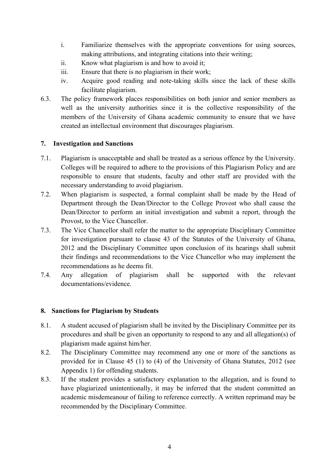- i. Familiarize themselves with the appropriate conventions for using sources, making attributions, and integrating citations into their writing;
- ii. Know what plagiarism is and how to avoid it;
- iii. Ensure that there is no plagiarism in their work;
- iv. Acquire good reading and note-taking skills since the lack of these skills facilitate plagiarism.
- 6.3. The policy framework places responsibilities on both junior and senior members as well as the university authorities since it is the collective responsibility of the members of the University of Ghana academic community to ensure that we have created an intellectual environment that discourages plagiarism.

#### **7. Investigation and Sanctions**

- 7.1. Plagiarism is unacceptable and shall be treated as a serious offence by the University. Colleges will be required to adhere to the provisions of this Plagiarism Policy and are responsible to ensure that students, faculty and other staff are provided with the necessary understanding to avoid plagiarism.
- 7.2. When plagiarism is suspected, a formal complaint shall be made by the Head of Department through the Dean/Director to the College Provost who shall cause the Dean/Director to perform an initial investigation and submit a report, through the Provost, to the Vice Chancellor.
- 7.3. The Vice Chancellor shall refer the matter to the appropriate Disciplinary Committee for investigation pursuant to clause 43 of the Statutes of the University of Ghana, 2012 and the Disciplinary Committee upon conclusion of its hearings shall submit their findings and recommendations to the Vice Chancellor who may implement the recommendations as he deems fit.
- 7.4. Any allegation of plagiarism shall be supported with the relevant documentations/evidence.

#### **8. Sanctions for Plagiarism by Students**

- 8.1. A student accused of plagiarism shall be invited by the Disciplinary Committee per its procedures and shall be given an opportunity to respond to any and all allegation(s) of plagiarism made against him/her.
- 8.2. The Disciplinary Committee may recommend any one or more of the sanctions as provided for in Clause 45 (1) to (4) of the University of Ghana Statutes, 2012 (see Appendix 1) for offending students.
- 8.3. If the student provides a satisfactory explanation to the allegation, and is found to have plagiarized unintentionally, it may be inferred that the student committed an academic misdemeanour of failing to reference correctly. A written reprimand may be recommended by the Disciplinary Committee.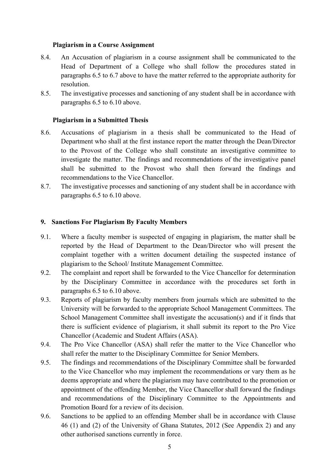#### **Plagiarism in a Course Assignment**

- 8.4. An Accusation of plagiarism in a course assignment shall be communicated to the Head of Department of a College who shall follow the procedures stated in paragraphs 6.5 to 6.7 above to have the matter referred to the appropriate authority for resolution.
- 8.5. The investigative processes and sanctioning of any student shall be in accordance with paragraphs 6.5 to 6.10 above.

#### **Plagiarism in a Submitted Thesis**

- 8.6. Accusations of plagiarism in a thesis shall be communicated to the Head of Department who shall at the first instance report the matter through the Dean/Director to the Provost of the College who shall constitute an investigative committee to investigate the matter. The findings and recommendations of the investigative panel shall be submitted to the Provost who shall then forward the findings and recommendations to the Vice Chancellor.
- 8.7. The investigative processes and sanctioning of any student shall be in accordance with paragraphs 6.5 to 6.10 above.

#### **9. Sanctions For Plagiarism By Faculty Members**

- 9.1. Where a faculty member is suspected of engaging in plagiarism, the matter shall be reported by the Head of Department to the Dean/Director who will present the complaint together with a written document detailing the suspected instance of plagiarism to the School/ Institute Management Committee.
- 9.2. The complaint and report shall be forwarded to the Vice Chancellor for determination by the Disciplinary Committee in accordance with the procedures set forth in paragraphs 6.5 to 6.10 above.
- 9.3. Reports of plagiarism by faculty members from journals which are submitted to the University will be forwarded to the appropriate School Management Committees. The School Management Committee shall investigate the accusation(s) and if it finds that there is sufficient evidence of plagiarism, it shall submit its report to the Pro Vice Chancellor (Academic and Student Affairs (ASA).
- 9.4. The Pro Vice Chancellor (ASA) shall refer the matter to the Vice Chancellor who shall refer the matter to the Disciplinary Committee for Senior Members.
- 9.5. The findings and recommendations of the Disciplinary Committee shall be forwarded to the Vice Chancellor who may implement the recommendations or vary them as he deems appropriate and where the plagiarism may have contributed to the promotion or appointment of the offending Member, the Vice Chancellor shall forward the findings and recommendations of the Disciplinary Committee to the Appointments and Promotion Board for a review of its decision.
- 9.6. Sanctions to be applied to an offending Member shall be in accordance with Clause 46 (1) and (2) of the University of Ghana Statutes, 2012 (See Appendix 2) and any other authorised sanctions currently in force.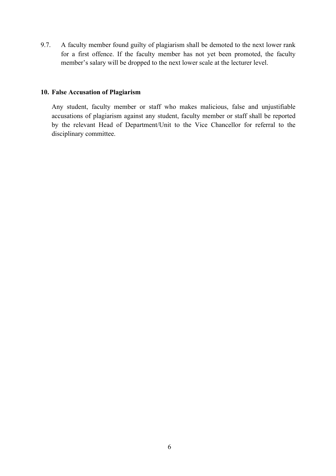9.7. A faculty member found guilty of plagiarism shall be demoted to the next lower rank for a first offence. If the faculty member has not yet been promoted, the faculty member's salary will be dropped to the next lower scale at the lecturer level.

#### **10. False Accusation of Plagiarism**

Any student, faculty member or staff who makes malicious, false and unjustifiable accusations of plagiarism against any student, faculty member or staff shall be reported by the relevant Head of Department/Unit to the Vice Chancellor for referral to the disciplinary committee.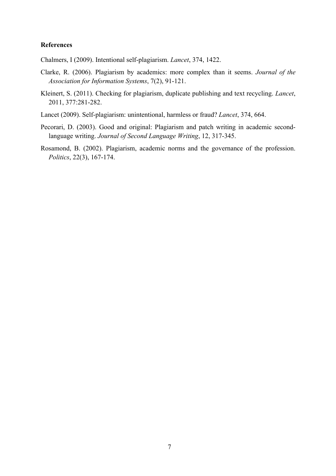#### **References**

Chalmers, I (2009). Intentional self-plagiarism. *Lancet*, 374, 1422.

- Clarke, R. (2006). Plagiarism by academics: more complex than it seems. *Journal of the Association for Information Systems*, 7(2), 91-121.
- Kleinert, S. (2011). Checking for plagiarism, duplicate publishing and text recycling. *Lancet*, 2011, 377:281-282.
- Lancet (2009). Self-plagiarism: unintentional, harmless or fraud? *Lancet*, 374, 664.
- Pecorari, D. (2003). Good and original: Plagiarism and patch writing in academic secondlanguage writing. *Journal of Second Language Writing*, 12, 317-345.
- Rosamond, B. (2002). Plagiarism, academic norms and the governance of the profession. *Politics*, 22(3), 167-174.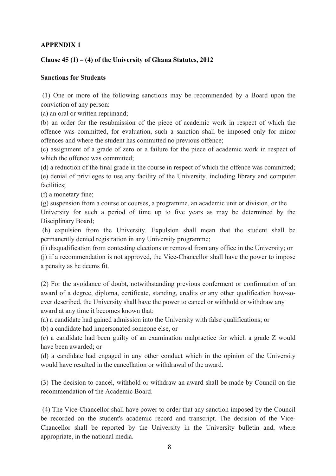## **APPENDIX 1**

## **Clause 45 (1) – (4) of the University of Ghana Statutes, 2012**

#### **Sanctions for Students**

(1) One or more of the following sanctions may be recommended by a Board upon the conviction of any person:

(a) an oral or written reprimand;

(b) an order for the resubmission of the piece of academic work in respect of which the offence was committed, for evaluation, such a sanction shall be imposed only for minor offences and where the student has committed no previous offence;

(c) assignment of a grade of zero or a failure for the piece of academic work in respect of which the offence was committed:

(d) a reduction of the final grade in the course in respect of which the offence was committed; (e) denial of privileges to use any facility of the University, including library and computer facilities;

(f) a monetary fine;

(g) suspension from a course or courses, a programme, an academic unit or division, or the University for such a period of time up to five years as may be determined by the Disciplinary Board;

(h) expulsion from the University. Expulsion shall mean that the student shall be permanently denied registration in any University programme;

(i) disqualification from contesting elections or removal from any office in the University; or

(j) if a recommendation is not approved, the Vice-Chancellor shall have the power to impose a penalty as he deems fit.

(2) For the avoidance of doubt, notwithstanding previous conferment or confirmation of an award of a degree, diploma, certificate, standing, credits or any other qualification how-soever described, the University shall have the power to cancel or withhold or withdraw any award at any time it becomes known that:

(a) a candidate had gained admission into the University with false qualifications; or

(b) a candidate had impersonated someone else, or

(c) a candidate had been guilty of an examination malpractice for which a grade Z would have been awarded; or

(d) a candidate had engaged in any other conduct which in the opinion of the University would have resulted in the cancellation or withdrawal of the award.

(3) The decision to cancel, withhold or withdraw an award shall be made by Council on the recommendation of the Academic Board.

(4) The Vice-Chancellor shall have power to order that any sanction imposed by the Council be recorded on the student's academic record and transcript. The decision of the Vice-Chancellor shall be reported by the University in the University bulletin and, where appropriate, in the national media.